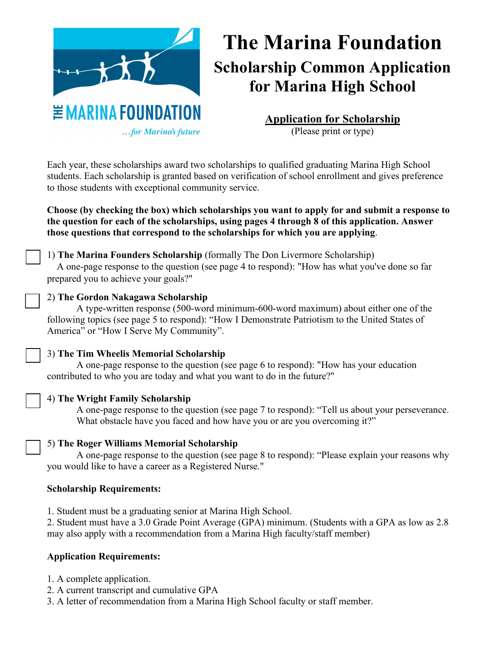

# **The Marina Foundation Scholarship Common Application for Marina High School**

**Application for Scholarship** (Please print or type)

Each year, these scholarships award two scholarships to qualified graduating Marina High School students. Each scholarship is granted based on verification of school enrollment and gives preference to those students with exceptional community service.

**Choose (by checking the box) which scholarships you want to apply for and submit a response to the question for each of the scholarships, using pages 4 through 8 of this application. Answer those questions that correspond to the scholarships for which you are applying**.

## 1) **The Marina Founders Scholarship** (formally The Don Livermore Scholarship)

A one-page response to the question (see page 4 to respond): "How has what you've done so far prepared you to achieve your goals?"

## 2) **The Gordon Nakagawa Scholarship**

A type-written response (500-word minimum-600-word maximum) about either one of the following topics (see page 5 to respond): "How I Demonstrate Patriotism to the United States of America" or "How I Serve My Community".

## 3) **The Tim Wheelis Memorial Scholarship**

A one-page response to the question (see page 6 to respond): "How has your education contributed to who you are today and what you want to do in the future?"

#### 4) **The Wright Family Scholarship**

A one-page response to the question (see page 7 to respond): "Tell us about your perseverance. What obstacle have you faced and how have you or are you overcoming it?"

#### 5) **The Roger Williams Memorial Scholarship**

A one-page response to the question (see page 8 to respond): "Please explain your reasons why you would like to have a career as a Registered Nurse."

#### **Scholarship Requirements:**

1. Student must be a graduating senior at Marina High School.

2. Student must have a 3.0 Grade Point Average (GPA) minimum. (Students with a GPA as low as 2.8 may also apply with a recommendation from a Marina High faculty/staff member)

### **Application Requirements:**

- 1. A complete application.
- 2. A current transcript and cumulative GPA
- 3. A letter of recommendation from a Marina High School faculty or staff member.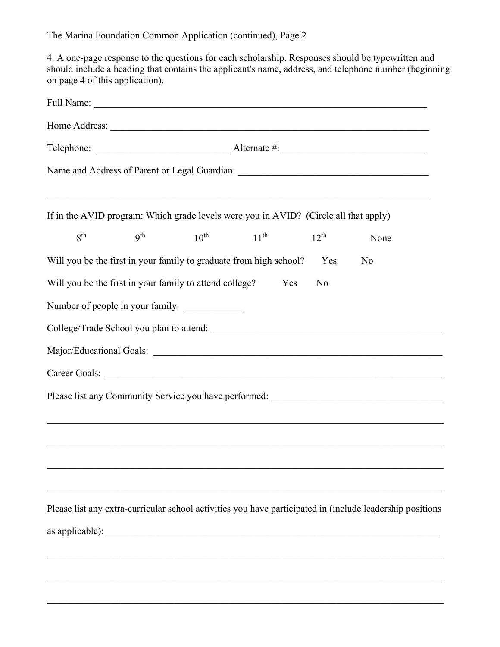4. A one-page response to the questions for each scholarship. Responses should be typewritten and should include a heading that contains the applicant's name, address, and telephone number (beginning on page 4 of this application).

| <b>9th</b> | $10^{\text{th}}$ | $11^{\text{th}}$ |                                                                                             | $12^{th}$                                                          | None |                                                                                                                                                                                                                                                                                                                                                                                                                 |
|------------|------------------|------------------|---------------------------------------------------------------------------------------------|--------------------------------------------------------------------|------|-----------------------------------------------------------------------------------------------------------------------------------------------------------------------------------------------------------------------------------------------------------------------------------------------------------------------------------------------------------------------------------------------------------------|
|            |                  |                  |                                                                                             | Yes                                                                | No   |                                                                                                                                                                                                                                                                                                                                                                                                                 |
|            |                  |                  | Yes                                                                                         | No                                                                 |      |                                                                                                                                                                                                                                                                                                                                                                                                                 |
|            |                  |                  |                                                                                             |                                                                    |      |                                                                                                                                                                                                                                                                                                                                                                                                                 |
|            |                  |                  |                                                                                             |                                                                    |      |                                                                                                                                                                                                                                                                                                                                                                                                                 |
|            |                  |                  |                                                                                             |                                                                    |      |                                                                                                                                                                                                                                                                                                                                                                                                                 |
|            |                  |                  |                                                                                             |                                                                    |      |                                                                                                                                                                                                                                                                                                                                                                                                                 |
|            |                  |                  |                                                                                             |                                                                    |      |                                                                                                                                                                                                                                                                                                                                                                                                                 |
|            |                  |                  |                                                                                             |                                                                    |      |                                                                                                                                                                                                                                                                                                                                                                                                                 |
|            |                  |                  |                                                                                             |                                                                    |      |                                                                                                                                                                                                                                                                                                                                                                                                                 |
|            |                  |                  |                                                                                             |                                                                    |      |                                                                                                                                                                                                                                                                                                                                                                                                                 |
|            |                  |                  |                                                                                             |                                                                    |      |                                                                                                                                                                                                                                                                                                                                                                                                                 |
|            |                  |                  |                                                                                             |                                                                    |      |                                                                                                                                                                                                                                                                                                                                                                                                                 |
|            |                  |                  |                                                                                             |                                                                    |      |                                                                                                                                                                                                                                                                                                                                                                                                                 |
|            |                  |                  |                                                                                             |                                                                    |      |                                                                                                                                                                                                                                                                                                                                                                                                                 |
|            |                  |                  |                                                                                             |                                                                    |      |                                                                                                                                                                                                                                                                                                                                                                                                                 |
|            |                  |                  | Will you be the first in your family to attend college?<br>Number of people in your family: | Will you be the first in your family to graduate from high school? |      | If in the AVID program: Which grade levels were you in AVID? (Circle all that apply)<br>Please list any Community Service you have performed: ___________________________<br><u> 1989 - Johann Stoff, deutscher Stoff, der Stoff, der Stoff, der Stoff, der Stoff, der Stoff, der Stoff, der S</u><br>Please list any extra-curricular school activities you have participated in (include leadership positions |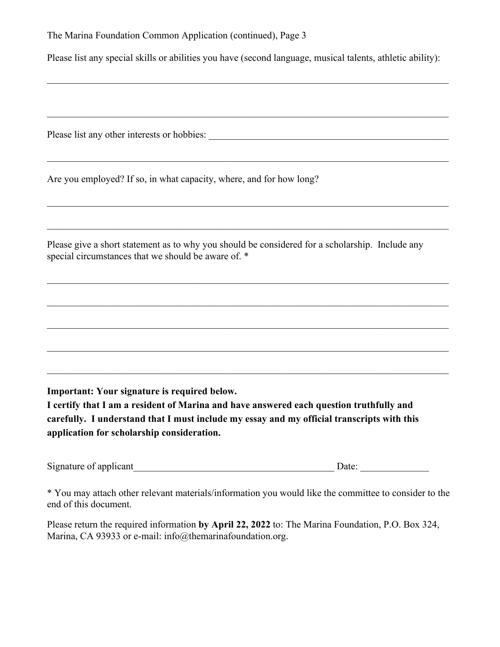Please list any special skills or abilities you have (second language, musical talents, athletic ability):

\_\_\_\_\_\_\_\_\_\_\_\_\_\_\_\_\_\_\_\_\_\_\_\_\_\_\_\_\_\_\_\_\_\_\_\_\_\_\_\_\_\_\_\_\_\_\_\_\_\_\_\_\_\_\_\_\_\_\_\_\_\_\_\_\_\_\_\_\_\_\_\_\_\_\_\_\_\_\_\_\_\_

\_\_\_\_\_\_\_\_\_\_\_\_\_\_\_\_\_\_\_\_\_\_\_\_\_\_\_\_\_\_\_\_\_\_\_\_\_\_\_\_\_\_\_\_\_\_\_\_\_\_\_\_\_\_\_\_\_\_\_\_\_\_\_\_\_\_\_\_\_\_\_\_\_\_\_\_\_\_\_\_\_\_

\_\_\_\_\_\_\_\_\_\_\_\_\_\_\_\_\_\_\_\_\_\_\_\_\_\_\_\_\_\_\_\_\_\_\_\_\_\_\_\_\_\_\_\_\_\_\_\_\_\_\_\_\_\_\_\_\_\_\_\_\_\_\_\_\_\_\_\_\_\_\_\_\_\_\_\_\_\_\_\_\_\_

\_\_\_\_\_\_\_\_\_\_\_\_\_\_\_\_\_\_\_\_\_\_\_\_\_\_\_\_\_\_\_\_\_\_\_\_\_\_\_\_\_\_\_\_\_\_\_\_\_\_\_\_\_\_\_\_\_\_\_\_\_\_\_\_\_\_\_\_\_\_\_\_\_\_\_\_\_\_\_\_\_\_

\_\_\_\_\_\_\_\_\_\_\_\_\_\_\_\_\_\_\_\_\_\_\_\_\_\_\_\_\_\_\_\_\_\_\_\_\_\_\_\_\_\_\_\_\_\_\_\_\_\_\_\_\_\_\_\_\_\_\_\_\_\_\_\_\_\_\_\_\_\_\_\_\_\_\_\_\_\_\_\_\_\_

\_\_\_\_\_\_\_\_\_\_\_\_\_\_\_\_\_\_\_\_\_\_\_\_\_\_\_\_\_\_\_\_\_\_\_\_\_\_\_\_\_\_\_\_\_\_\_\_\_\_\_\_\_\_\_\_\_\_\_\_\_\_\_\_\_\_\_\_\_\_\_\_\_\_\_\_\_\_\_\_\_\_

\_\_\_\_\_\_\_\_\_\_\_\_\_\_\_\_\_\_\_\_\_\_\_\_\_\_\_\_\_\_\_\_\_\_\_\_\_\_\_\_\_\_\_\_\_\_\_\_\_\_\_\_\_\_\_\_\_\_\_\_\_\_\_\_\_\_\_\_\_\_\_\_\_\_\_\_\_\_\_\_\_\_

Please list any other interests or hobbies: \_\_\_\_\_\_\_\_\_\_\_\_\_\_\_\_\_\_\_\_\_\_\_\_\_\_\_\_\_\_\_\_\_\_\_\_\_\_\_\_\_\_\_\_\_\_\_\_\_

Are you employed? If so, in what capacity, where, and for how long?

Please give a short statement as to why you should be considered for a scholarship. Include any special circumstances that we should be aware of. \*

**Important: Your signature is required below.**

**I certify that I am a resident of Marina and have answered each question truthfully and carefully. I understand that I must include my essay and my official transcripts with this application for scholarship consideration.** 

Signature of applicant\_\_\_\_\_\_\_\_\_\_\_\_\_\_\_\_\_\_\_\_\_\_\_\_\_\_\_\_\_\_\_\_\_\_\_\_\_\_\_\_\_ Date: \_\_\_\_\_\_\_\_\_\_\_\_\_\_

\* You may attach other relevant materials/information you would like the committee to consider to the end of this document.

Please return the required information **by April 22, 2022** to: The Marina Foundation, P.O. Box 324, Marina, CA 93933 or e-mail: info@themarinafoundation.org.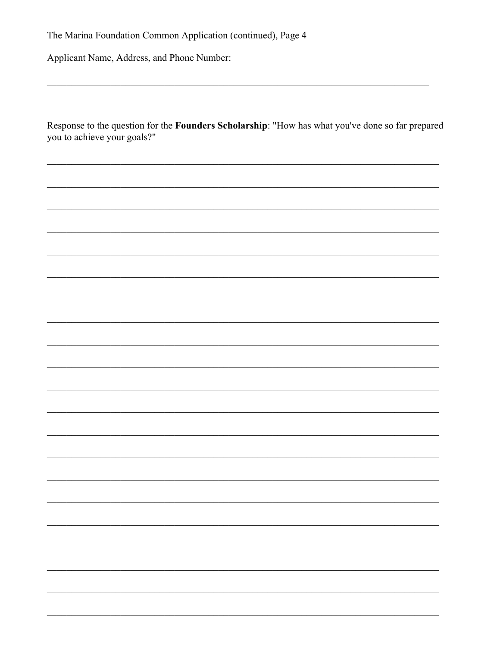Applicant Name, Address, and Phone Number:

Response to the question for the Founders Scholarship: "How has what you've done so far prepared you to achieve your goals?"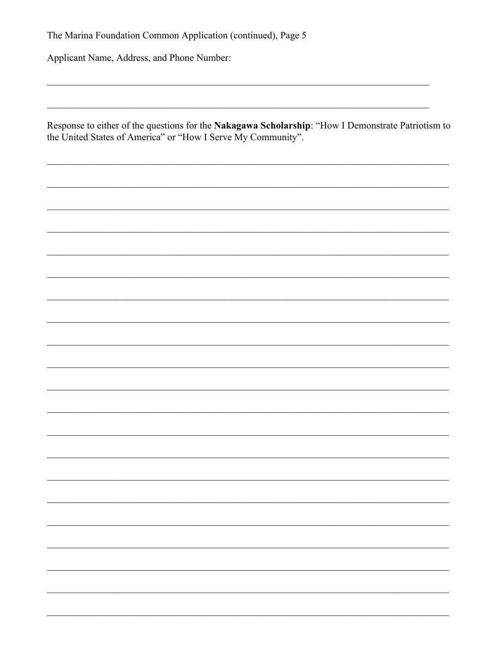Applicant Name, Address, and Phone Number:

Response to either of the questions for the Nakagawa Scholarship: "How I Demonstrate Patriotism to the United States of America" or "How I Serve My Community".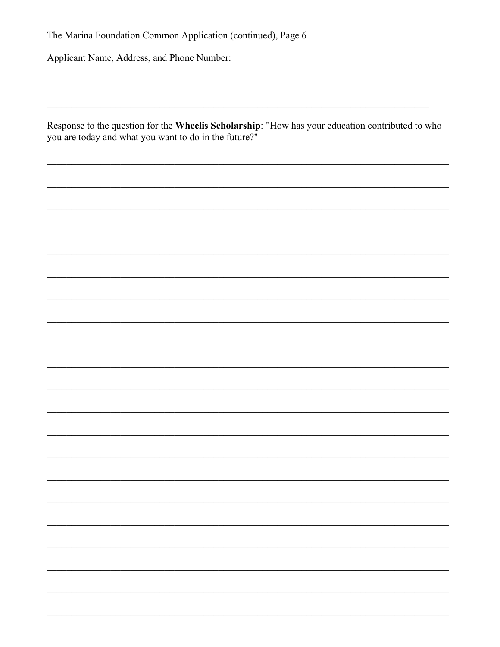Applicant Name, Address, and Phone Number:

Response to the question for the Wheelis Scholarship: "How has your education contributed to who you are today and what you want to do in the future?"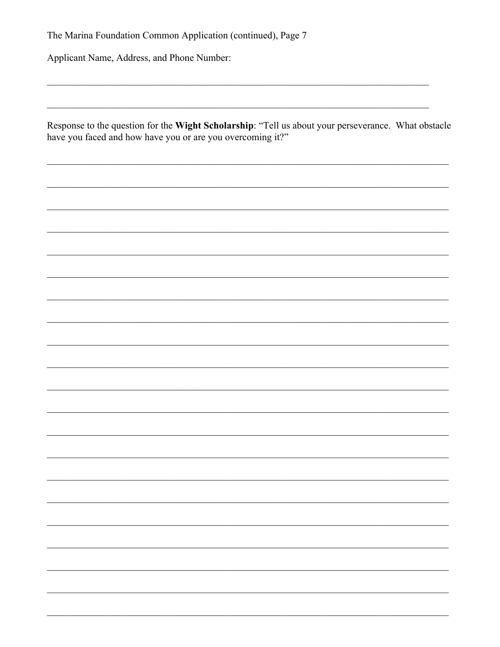Applicant Name, Address, and Phone Number:

Response to the question for the Wight Scholarship: "Tell us about your perseverance. What obstacle have you faced and how have you or are you overcoming it?"